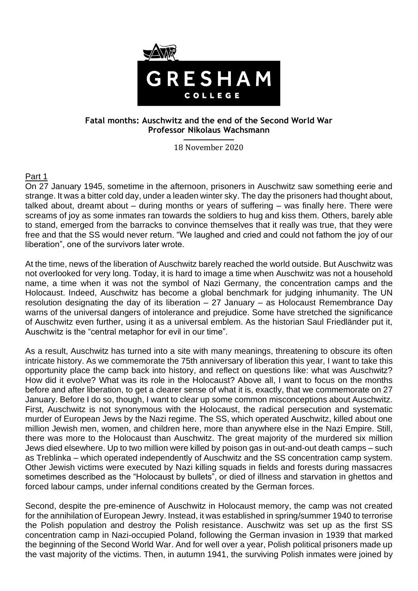

# **Fatal months: Auschwitz and the end of the Second World War Professor Nikolaus Wachsmann**

18 November 2020

# Part 1

On 27 January 1945, sometime in the afternoon, prisoners in Auschwitz saw something eerie and strange. It was a bitter cold day, under a leaden winter sky. The day the prisoners had thought about, talked about, dreamt about – during months or years of suffering – was finally here. There were screams of joy as some inmates ran towards the soldiers to hug and kiss them. Others, barely able to stand, emerged from the barracks to convince themselves that it really was true, that they were free and that the SS would never return. "We laughed and cried and could not fathom the joy of our liberation", one of the survivors later wrote.

At the time, news of the liberation of Auschwitz barely reached the world outside. But Auschwitz was not overlooked for very long. Today, it is hard to image a time when Auschwitz was not a household name, a time when it was not the symbol of Nazi Germany, the concentration camps and the Holocaust. Indeed, Auschwitz has become a global benchmark for judging inhumanity. The UN resolution designating the day of its liberation  $-27$  January  $-$  as Holocaust Remembrance Day warns of the universal dangers of intolerance and prejudice. Some have stretched the significance of Auschwitz even further, using it as a universal emblem. As the historian Saul Friedländer put it, Auschwitz is the "central metaphor for evil in our time".

As a result, Auschwitz has turned into a site with many meanings, threatening to obscure its often intricate history. As we commemorate the 75th anniversary of liberation this year, I want to take this opportunity place the camp back into history, and reflect on questions like: what was Auschwitz? How did it evolve? What was its role in the Holocaust? Above all, I want to focus on the months before and after liberation, to get a clearer sense of what it is, exactly, that we commemorate on 27 January. Before I do so, though, I want to clear up some common misconceptions about Auschwitz. First, Auschwitz is not synonymous with the Holocaust, the radical persecution and systematic murder of European Jews by the Nazi regime. The SS, which operated Auschwitz, killed about one million Jewish men, women, and children here, more than anywhere else in the Nazi Empire. Still, there was more to the Holocaust than Auschwitz. The great majority of the murdered six million Jews died elsewhere. Up to two million were killed by poison gas in out-and-out death camps – such as Treblinka – which operated independently of Auschwitz and the SS concentration camp system. Other Jewish victims were executed by Nazi killing squads in fields and forests during massacres sometimes described as the "Holocaust by bullets", or died of illness and starvation in ghettos and forced labour camps, under infernal conditions created by the German forces.

Second, despite the pre-eminence of Auschwitz in Holocaust memory, the camp was not created for the annihilation of European Jewry. Instead, it was established in spring/summer 1940 to terrorise the Polish population and destroy the Polish resistance. Auschwitz was set up as the first SS concentration camp in Nazi-occupied Poland, following the German invasion in 1939 that marked the beginning of the Second World War. And for well over a year, Polish political prisoners made up the vast majority of the victims. Then, in autumn 1941, the surviving Polish inmates were joined by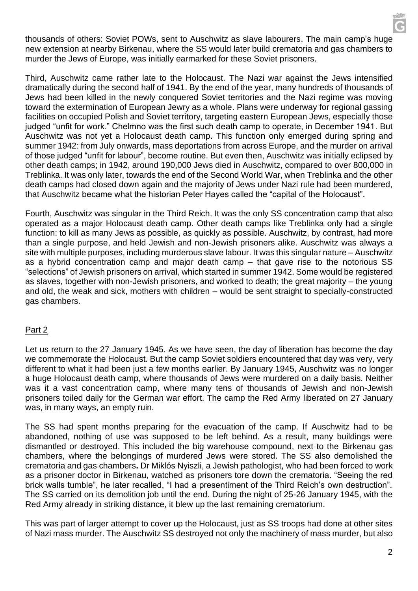thousands of others: Soviet POWs, sent to Auschwitz as slave labourers. The main camp's huge new extension at nearby Birkenau, where the SS would later build crematoria and gas chambers to murder the Jews of Europe, was initially earmarked for these Soviet prisoners.

Third, Auschwitz came rather late to the Holocaust. The Nazi war against the Jews intensified dramatically during the second half of 1941. By the end of the year, many hundreds of thousands of Jews had been killed in the newly conquered Soviet territories and the Nazi regime was moving toward the extermination of European Jewry as a whole. Plans were underway for regional gassing facilities on occupied Polish and Soviet territory, targeting eastern European Jews, especially those judged "unfit for work." Chelmno was the first such death camp to operate, in December 1941. But Auschwitz was not yet a Holocaust death camp. This function only emerged during spring and summer 1942: from July onwards, mass deportations from across Europe, and the murder on arrival of those judged "unfit for labour", become routine. But even then, Auschwitz was initially eclipsed by other death camps; in 1942, around 190,000 Jews died in Auschwitz, compared to over 800,000 in Treblinka. It was only later, towards the end of the Second World War, when Treblinka and the other death camps had closed down again and the majority of Jews under Nazi rule had been murdered, that Auschwitz became what the historian Peter Hayes called the "capital of the Holocaust".

Fourth, Auschwitz was singular in the Third Reich. It was the only SS concentration camp that also operated as a major Holocaust death camp. Other death camps like Treblinka only had a single function: to kill as many Jews as possible, as quickly as possible. Auschwitz, by contrast, had more than a single purpose, and held Jewish and non-Jewish prisoners alike. Auschwitz was always a site with multiple purposes, including murderous slave labour. It was this singular nature – Auschwitz as a hybrid concentration camp and major death camp – that gave rise to the notorious SS "selections" of Jewish prisoners on arrival, which started in summer 1942. Some would be registered as slaves, together with non-Jewish prisoners, and worked to death; the great majority – the young and old, the weak and sick, mothers with children – would be sent straight to specially-constructed gas chambers.

# Part 2

Let us return to the 27 January 1945. As we have seen, the day of liberation has become the day we commemorate the Holocaust. But the camp Soviet soldiers encountered that day was very, very different to what it had been just a few months earlier. By January 1945, Auschwitz was no longer a huge Holocaust death camp, where thousands of Jews were murdered on a daily basis. Neither was it a vast concentration camp, where many tens of thousands of Jewish and non-Jewish prisoners toiled daily for the German war effort. The camp the Red Army liberated on 27 January was, in many ways, an empty ruin.

The SS had spent months preparing for the evacuation of the camp. If Auschwitz had to be abandoned, nothing of use was supposed to be left behind. As a result, many buildings were dismantled or destroyed. This included the big warehouse compound, next to the Birkenau gas chambers, where the belongings of murdered Jews were stored. The SS also demolished the crematoria and gas chambers**.** Dr Miklós Nyiszli, a Jewish pathologist, who had been forced to work as a prisoner doctor in Birkenau, watched as prisoners tore down the crematoria. "Seeing the red brick walls tumble", he later recalled, "I had a presentiment of the Third Reich's own destruction". The SS carried on its demolition job until the end. During the night of 25-26 January 1945, with the Red Army already in striking distance, it blew up the last remaining crematorium.

This was part of larger attempt to cover up the Holocaust, just as SS troops had done at other sites of Nazi mass murder. The Auschwitz SS destroyed not only the machinery of mass murder, but also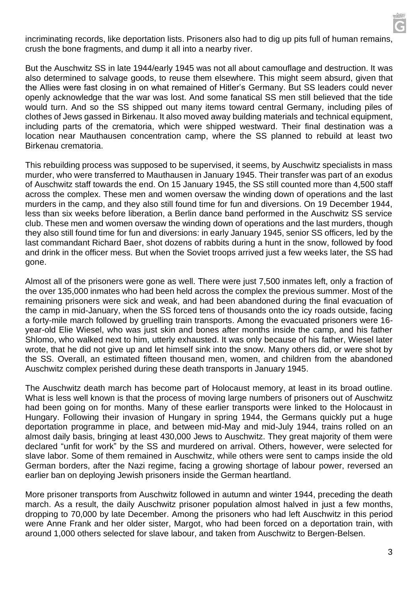incriminating records, like deportation lists. Prisoners also had to dig up pits full of human remains, crush the bone fragments, and dump it all into a nearby river.

But the Auschwitz SS in late 1944/early 1945 was not all about camouflage and destruction. It was also determined to salvage goods, to reuse them elsewhere. This might seem absurd, given that the Allies were fast closing in on what remained of Hitler's Germany. But SS leaders could never openly acknowledge that the war was lost. And some fanatical SS men still believed that the tide would turn. And so the SS shipped out many items toward central Germany, including piles of clothes of Jews gassed in Birkenau. It also moved away building materials and technical equipment, including parts of the crematoria, which were shipped westward. Their final destination was a location near Mauthausen concentration camp, where the SS planned to rebuild at least two Birkenau crematoria.

This rebuilding process was supposed to be supervised, it seems, by Auschwitz specialists in mass murder, who were transferred to Mauthausen in January 1945. Their transfer was part of an exodus of Auschwitz staff towards the end. On 15 January 1945, the SS still counted more than 4,500 staff across the complex. These men and women oversaw the winding down of operations and the last murders in the camp, and they also still found time for fun and diversions. On 19 December 1944, less than six weeks before liberation, a Berlin dance band performed in the Auschwitz SS service club. These men and women oversaw the winding down of operations and the last murders, though they also still found time for fun and diversions: in early January 1945, senior SS officers, led by the last commandant Richard Baer, shot dozens of rabbits during a hunt in the snow, followed by food and drink in the officer mess. But when the Soviet troops arrived just a few weeks later, the SS had gone.

Almost all of the prisoners were gone as well. There were just 7,500 inmates left, only a fraction of the over 135,000 inmates who had been held across the complex the previous summer. Most of the remaining prisoners were sick and weak, and had been abandoned during the final evacuation of the camp in mid-January, when the SS forced tens of thousands onto the icy roads outside, facing a forty-mile march followed by gruelling train transports. Among the evacuated prisoners were 16 year-old Elie Wiesel, who was just skin and bones after months inside the camp, and his father Shlomo, who walked next to him, utterly exhausted. It was only because of his father, Wiesel later wrote, that he did not give up and let himself sink into the snow. Many others did, or were shot by the SS. Overall, an estimated fifteen thousand men, women, and children from the abandoned Auschwitz complex perished during these death transports in January 1945.

The Auschwitz death march has become part of Holocaust memory, at least in its broad outline. What is less well known is that the process of moving large numbers of prisoners out of Auschwitz had been going on for months. Many of these earlier transports were linked to the Holocaust in Hungary. Following their invasion of Hungary in spring 1944, the Germans quickly put a huge deportation programme in place, and between mid-May and mid-July 1944, trains rolled on an almost daily basis, bringing at least 430,000 Jews to Auschwitz. They great majority of them were declared "unfit for work" by the SS and murdered on arrival. Others, however, were selected for slave labor. Some of them remained in Auschwitz, while others were sent to camps inside the old German borders, after the Nazi regime, facing a growing shortage of labour power, reversed an earlier ban on deploying Jewish prisoners inside the German heartland.

More prisoner transports from Auschwitz followed in autumn and winter 1944, preceding the death march. As a result, the daily Auschwitz prisoner population almost halved in just a few months, dropping to 70,000 by late December. Among the prisoners who had left Auschwitz in this period were Anne Frank and her older sister, Margot, who had been forced on a deportation train, with around 1,000 others selected for slave labour, and taken from Auschwitz to Bergen-Belsen.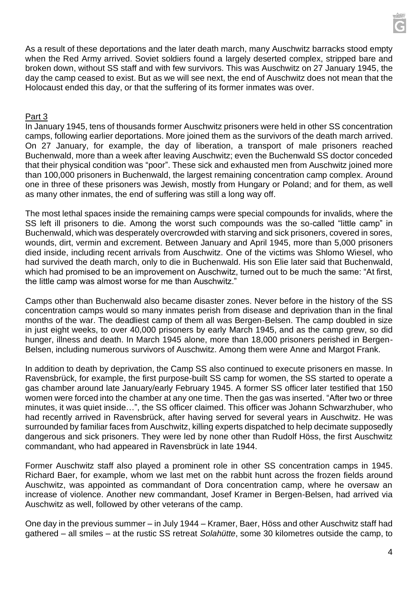

As a result of these deportations and the later death march, many Auschwitz barracks stood empty when the Red Army arrived. Soviet soldiers found a largely deserted complex, stripped bare and broken down, without SS staff and with few survivors. This was Auschwitz on 27 January 1945, the day the camp ceased to exist. But as we will see next, the end of Auschwitz does not mean that the Holocaust ended this day, or that the suffering of its former inmates was over.

#### Part 3

In January 1945, tens of thousands former Auschwitz prisoners were held in other SS concentration camps, following earlier deportations. More joined them as the survivors of the death march arrived. On 27 January, for example, the day of liberation, a transport of male prisoners reached Buchenwald, more than a week after leaving Auschwitz; even the Buchenwald SS doctor conceded that their physical condition was "poor". These sick and exhausted men from Auschwitz joined more than 100,000 prisoners in Buchenwald, the largest remaining concentration camp complex. Around one in three of these prisoners was Jewish, mostly from Hungary or Poland; and for them, as well as many other inmates, the end of suffering was still a long way off.

The most lethal spaces inside the remaining camps were special compounds for invalids, where the SS left ill prisoners to die. Among the worst such compounds was the so-called "little camp" in Buchenwald, which was desperately overcrowded with starving and sick prisoners, covered in sores, wounds, dirt, vermin and excrement. Between January and April 1945, more than 5,000 prisoners died inside, including recent arrivals from Auschwitz. One of the victims was Shlomo Wiesel, who had survived the death march, only to die in Buchenwald. His son Elie later said that Buchenwald, which had promised to be an improvement on Auschwitz, turned out to be much the same: "At first, the little camp was almost worse for me than Auschwitz."

Camps other than Buchenwald also became disaster zones. Never before in the history of the SS concentration camps would so many inmates perish from disease and deprivation than in the final months of the war. The deadliest camp of them all was Bergen-Belsen. The camp doubled in size in just eight weeks, to over 40,000 prisoners by early March 1945, and as the camp grew, so did hunger, illness and death. In March 1945 alone, more than 18,000 prisoners perished in Bergen-Belsen, including numerous survivors of Auschwitz. Among them were Anne and Margot Frank.

In addition to death by deprivation, the Camp SS also continued to execute prisoners en masse. In Ravensbrück, for example, the first purpose-built SS camp for women, the SS started to operate a gas chamber around late January/early February 1945. A former SS officer later testified that 150 women were forced into the chamber at any one time. Then the gas was inserted. "After two or three minutes, it was quiet inside…", the SS officer claimed. This officer was Johann Schwarzhuber, who had recently arrived in Ravensbrück, after having served for several years in Auschwitz. He was surrounded by familiar faces from Auschwitz, killing experts dispatched to help decimate supposedly dangerous and sick prisoners. They were led by none other than Rudolf Höss, the first Auschwitz commandant, who had appeared in Ravensbrück in late 1944.

Former Auschwitz staff also played a prominent role in other SS concentration camps in 1945. Richard Baer, for example, whom we last met on the rabbit hunt across the frozen fields around Auschwitz, was appointed as commandant of Dora concentration camp, where he oversaw an increase of violence. Another new commandant, Josef Kramer in Bergen-Belsen, had arrived via Auschwitz as well, followed by other veterans of the camp.

One day in the previous summer – in July 1944 – Kramer, Baer, Höss and other Auschwitz staff had gathered – all smiles – at the rustic SS retreat *Solahütte*, some 30 kilometres outside the camp, to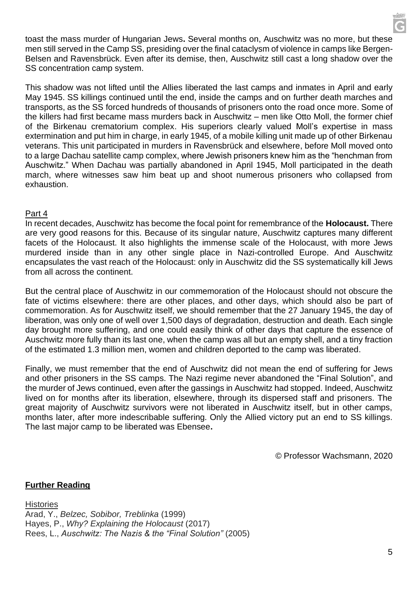toast the mass murder of Hungarian Jews**.** Several months on, Auschwitz was no more, but these men still served in the Camp SS, presiding over the final cataclysm of violence in camps like Bergen-Belsen and Ravensbrück. Even after its demise, then, Auschwitz still cast a long shadow over the SS concentration camp system.

This shadow was not lifted until the Allies liberated the last camps and inmates in April and early May 1945. SS killings continued until the end, inside the camps and on further death marches and transports, as the SS forced hundreds of thousands of prisoners onto the road once more. Some of the killers had first became mass murders back in Auschwitz – men like Otto Moll, the former chief of the Birkenau crematorium complex. His superiors clearly valued Moll's expertise in mass extermination and put him in charge, in early 1945, of a mobile killing unit made up of other Birkenau veterans. This unit participated in murders in Ravensbrück and elsewhere, before Moll moved onto to a large Dachau satellite camp complex, where Jewish prisoners knew him as the "henchman from Auschwitz." When Dachau was partially abandoned in April 1945, Moll participated in the death march, where witnesses saw him beat up and shoot numerous prisoners who collapsed from exhaustion.

### Part 4

In recent decades, Auschwitz has become the focal point for remembrance of the **Holocaust.** There are very good reasons for this. Because of its singular nature, Auschwitz captures many different facets of the Holocaust. It also highlights the immense scale of the Holocaust, with more Jews murdered inside than in any other single place in Nazi-controlled Europe. And Auschwitz encapsulates the vast reach of the Holocaust: only in Auschwitz did the SS systematically kill Jews from all across the continent.

But the central place of Auschwitz in our commemoration of the Holocaust should not obscure the fate of victims elsewhere: there are other places, and other days, which should also be part of commemoration. As for Auschwitz itself, we should remember that the 27 January 1945, the day of liberation, was only one of well over 1,500 days of degradation, destruction and death. Each single day brought more suffering, and one could easily think of other days that capture the essence of Auschwitz more fully than its last one, when the camp was all but an empty shell, and a tiny fraction of the estimated 1.3 million men, women and children deported to the camp was liberated.

Finally, we must remember that the end of Auschwitz did not mean the end of suffering for Jews and other prisoners in the SS camps. The Nazi regime never abandoned the "Final Solution", and the murder of Jews continued, even after the gassings in Auschwitz had stopped. Indeed, Auschwitz lived on for months after its liberation, elsewhere, through its dispersed staff and prisoners. The great majority of Auschwitz survivors were not liberated in Auschwitz itself, but in other camps, months later, after more indescribable suffering. Only the Allied victory put an end to SS killings. The last major camp to be liberated was Ebensee**.**

© Professor Wachsmann, 2020

# **Further Reading**

**Histories** Arad, Y., *Belzec, Sobibor, Treblinka* (1999) Hayes, P., *Why? Explaining the Holocaust* (2017) Rees, L., *Auschwitz: The Nazis & the "Final Solution"* (2005)